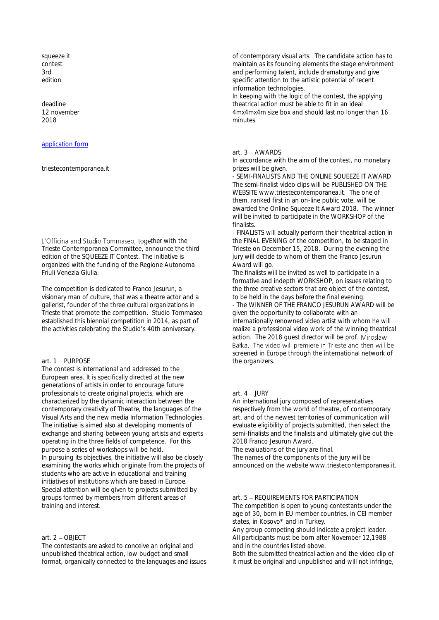squeeze it contest 3rd edition

deadline 12 november 2018

### [application form](http://www.triestecontemporanea.it/squeezeit_2018/Squeeze_it_2018_contest/index.html)

#### triestecontemporanea.it

L'Officina and Studio Tommaseo, together with the Trieste Contemporanea Committee, announce the third edition of the SQUEEZE IT Contest. The initiative is organized with the funding of the Regione Autonoma Friuli Venezia Giulia.

The competition is dedicated to Franco Jesurun, a visionary man of culture, that was a theatre actor and a gallerist, founder of the three cultural organizations in Trieste that promote the competition. Studio Tommaseo established this biennial competition in 2014, as part of the activities celebrating the Studio's 40th anniversary.

### art.  $1 -$ PURPOSE

The contest is international and addressed to the European area. It is specifically directed at the new generations of artists in order to encourage future professionals to create original projects, which are characterized by the dynamic interaction between the contemporary creativity of Theatre, the languages of the Visual Arts and the new media Information Technologies. The initiative is aimed also at developing moments of exchange and sharing between young artists and experts operating in the three fields of competence. For this purpose a series of workshops will be held. In pursuing its objectives, the initiative will also be closely examining the works which originate from the projects of students who are active in educational and training initiatives of institutions which are based in Europe. Special attention will be given to projects submitted by groups formed by members from different areas of training and interest.

## art. 2 OBJECT

The contestants are asked to conceive an original and unpublished theatrical action, low budget and small format, organically connected to the languages and issues

of contemporary visual arts. The candidate action has to maintain as its founding elements the stage environment and performing talent, include dramaturgy and give specific attention to the artistic potential of recent information technologies.

In keeping with the logic of the contest, the applying theatrical action must be able to fit in an ideal 4mx4mx4m size box and should last no longer than 16 minutes.

### art.  $3 -$  AWARDS

In accordance with the aim of the contest, no monetary prizes will be given.

- SEMI-FINALISTS AND THE ONLINE SQUEEZE IT AWARD The semi-finalist video clips will be PUBLISHED ON THE WEBSITE www.triestecontemporanea.it. The one of them, ranked first in an on-line public vote, will be awarded the Online Squeeze It Award 2018. The winner will be invited to participate in the WORKSHOP of the finalists.

- FINALISTS will actually perform their theatrical action in the FINAL EVENING of the competition, to be staged in Trieste on December 15, 2018. During the evening the jury will decide to whom of them the Franco Jesurun Award will go.

The finalists will be invited as well to participate in a formative and indepth WORKSHOP, on issues relating to the three creative sectors that are object of the contest, to be held in the days before the final evening.

- The WINNER OF THE FRANCO JESURUN AWARD will be given the opportunity to collaborate with an internationally renowned video artist with whom he will realize a professional video work of the winning theatrical action. The 2018 quest director will be prof. Mirosław Bałka. The video will premiere in Trieste and then will be screened in Europe through the international network of the organizers.

#### art.  $4 - IUIRY$

An international jury composed of representatives respectively from the world of theatre, of contemporary art, and of the newest territories of communication will evaluate eligibility of projects submitted, then select the semi-finalists and the finalists and ultimately give out the 2018 Franco Jesurun Award.

The evaluations of the jury are final.

The names of the components of the jury will be announced on the website www.triestecontemporanea.it.

#### art. 5 - REQUIREMENTS FOR PARTICIPATION

The competition is open to young contestants under the age of 30, born in EU member countries, in CEI member states, in Kosovo\* and in Turkey.

Any group competing should indicate a project leader. All participants must be born after November 12,1988 and in the countries listed above.

Both the submitted theatrical action and the video clip of it must be original and unpublished and will not infringe,